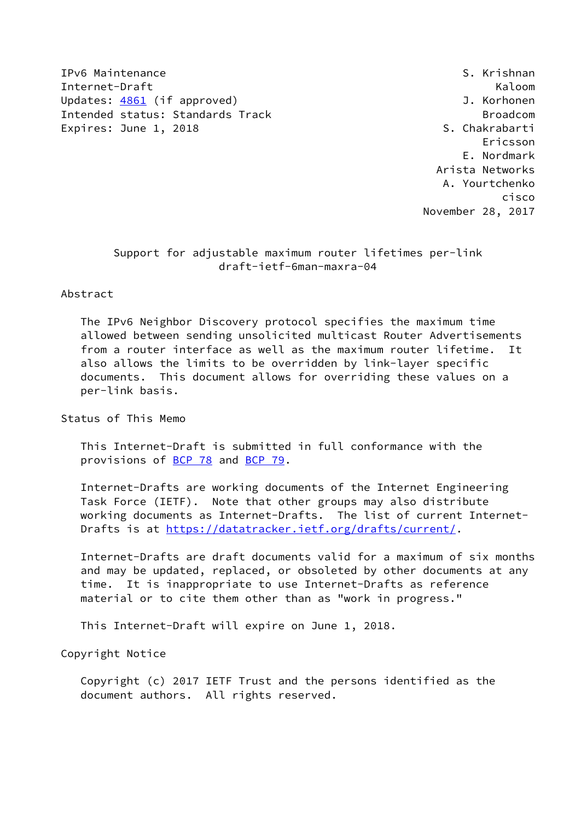IPv6 Maintenance S. Krishnan Internet-Draft Kaloom Updates: [4861](https://datatracker.ietf.org/doc/pdf/rfc4861) (if approved) and the settlement of the Updates: 4861 (if approved) Intended status: Standards Track Broadcom Broadcom Expires: June 1, 2018 S. Chakrabarti

 Ericsson E. Nordmark Arista Networks A. Yourtchenko cisco November 28, 2017

> Support for adjustable maximum router lifetimes per-link draft-ietf-6man-maxra-04

### Abstract

 The IPv6 Neighbor Discovery protocol specifies the maximum time allowed between sending unsolicited multicast Router Advertisements from a router interface as well as the maximum router lifetime. It also allows the limits to be overridden by link-layer specific documents. This document allows for overriding these values on a per-link basis.

Status of This Memo

 This Internet-Draft is submitted in full conformance with the provisions of [BCP 78](https://datatracker.ietf.org/doc/pdf/bcp78) and [BCP 79](https://datatracker.ietf.org/doc/pdf/bcp79).

 Internet-Drafts are working documents of the Internet Engineering Task Force (IETF). Note that other groups may also distribute working documents as Internet-Drafts. The list of current Internet- Drafts is at<https://datatracker.ietf.org/drafts/current/>.

 Internet-Drafts are draft documents valid for a maximum of six months and may be updated, replaced, or obsoleted by other documents at any time. It is inappropriate to use Internet-Drafts as reference material or to cite them other than as "work in progress."

This Internet-Draft will expire on June 1, 2018.

Copyright Notice

 Copyright (c) 2017 IETF Trust and the persons identified as the document authors. All rights reserved.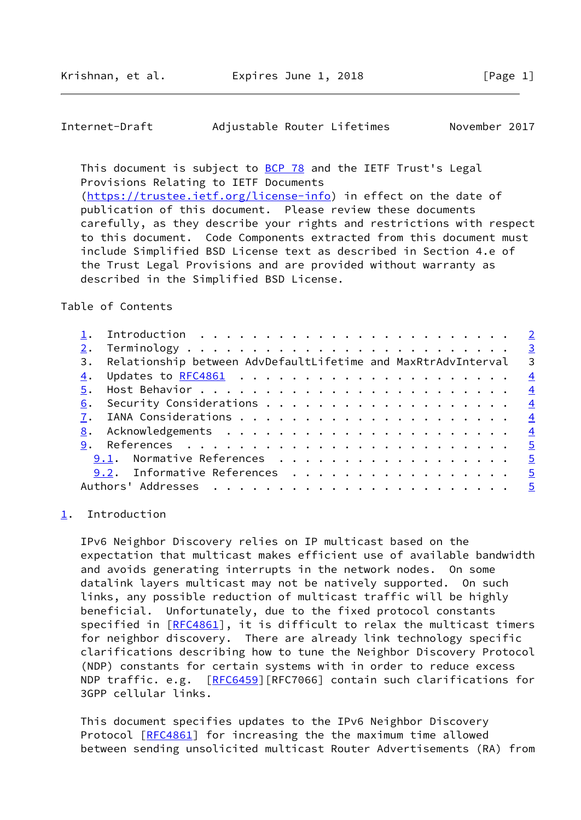# <span id="page-1-1"></span>Internet-Draft Adjustable Router Lifetimes November 2017

This document is subject to [BCP 78](https://datatracker.ietf.org/doc/pdf/bcp78) and the IETF Trust's Legal Provisions Relating to IETF Documents [\(https://trustee.ietf.org/license-info](https://trustee.ietf.org/license-info)) in effect on the date of publication of this document. Please review these documents carefully, as they describe your rights and restrictions with respect to this document. Code Components extracted from this document must include Simplified BSD License text as described in Section 4.e of the Trust Legal Provisions and are provided without warranty as described in the Simplified BSD License.

### Table of Contents

|  | 3. Relationship between AdvDefaultLifetime and MaxRtrAdvInterval 3 |               |
|--|--------------------------------------------------------------------|---------------|
|  |                                                                    | $\frac{4}{1}$ |
|  |                                                                    | $\frac{4}{3}$ |
|  |                                                                    |               |
|  |                                                                    |               |
|  |                                                                    |               |
|  | <u> 9</u> . References <u>5</u>                                    |               |
|  | 9.1. Normative References 5                                        |               |
|  | 9.2. Informative References 5                                      |               |
|  |                                                                    |               |
|  |                                                                    |               |

# <span id="page-1-0"></span>[1](#page-1-0). Introduction

 IPv6 Neighbor Discovery relies on IP multicast based on the expectation that multicast makes efficient use of available bandwidth and avoids generating interrupts in the network nodes. On some datalink layers multicast may not be natively supported. On such links, any possible reduction of multicast traffic will be highly beneficial. Unfortunately, due to the fixed protocol constants specified in [\[RFC4861](https://datatracker.ietf.org/doc/pdf/rfc4861)], it is difficult to relax the multicast timers for neighbor discovery. There are already link technology specific clarifications describing how to tune the Neighbor Discovery Protocol (NDP) constants for certain systems with in order to reduce excess NDP traffic. e.g. [[RFC6459\]](https://datatracker.ietf.org/doc/pdf/rfc6459)[RFC7066] contain such clarifications for 3GPP cellular links.

 This document specifies updates to the IPv6 Neighbor Discovery Protocol [\[RFC4861](https://datatracker.ietf.org/doc/pdf/rfc4861)] for increasing the the maximum time allowed between sending unsolicited multicast Router Advertisements (RA) from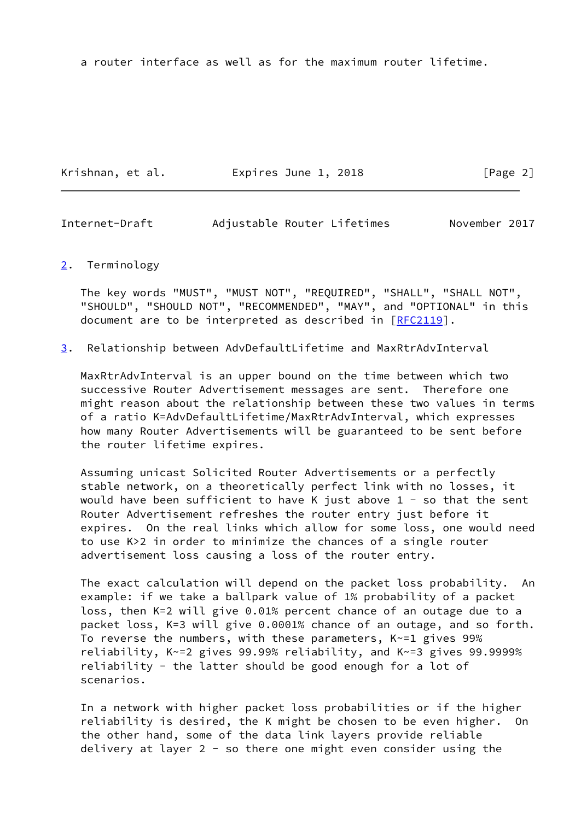a router interface as well as for the maximum router lifetime.

Krishnan, et al. Expires June 1, 2018 [Page 2]

<span id="page-2-1"></span>Internet-Draft Adjustable Router Lifetimes November 2017

#### <span id="page-2-0"></span>[2](#page-2-0). Terminology

 The key words "MUST", "MUST NOT", "REQUIRED", "SHALL", "SHALL NOT", "SHOULD", "SHOULD NOT", "RECOMMENDED", "MAY", and "OPTIONAL" in this document are to be interpreted as described in [\[RFC2119](https://datatracker.ietf.org/doc/pdf/rfc2119)].

<span id="page-2-2"></span>[3](#page-2-2). Relationship between AdvDefaultLifetime and MaxRtrAdvInterval

 MaxRtrAdvInterval is an upper bound on the time between which two successive Router Advertisement messages are sent. Therefore one might reason about the relationship between these two values in terms of a ratio K=AdvDefaultLifetime/MaxRtrAdvInterval, which expresses how many Router Advertisements will be guaranteed to be sent before the router lifetime expires.

 Assuming unicast Solicited Router Advertisements or a perfectly stable network, on a theoretically perfect link with no losses, it would have been sufficient to have K just above  $1 -$  so that the sent Router Advertisement refreshes the router entry just before it expires. On the real links which allow for some loss, one would need to use K>2 in order to minimize the chances of a single router advertisement loss causing a loss of the router entry.

 The exact calculation will depend on the packet loss probability. An example: if we take a ballpark value of 1% probability of a packet loss, then K=2 will give 0.01% percent chance of an outage due to a packet loss, K=3 will give 0.0001% chance of an outage, and so forth. To reverse the numbers, with these parameters, K~=1 gives 99% reliability, K~=2 gives 99.99% reliability, and K~=3 gives 99.9999% reliability - the latter should be good enough for a lot of scenarios.

 In a network with higher packet loss probabilities or if the higher reliability is desired, the K might be chosen to be even higher. On the other hand, some of the data link layers provide reliable delivery at layer 2 - so there one might even consider using the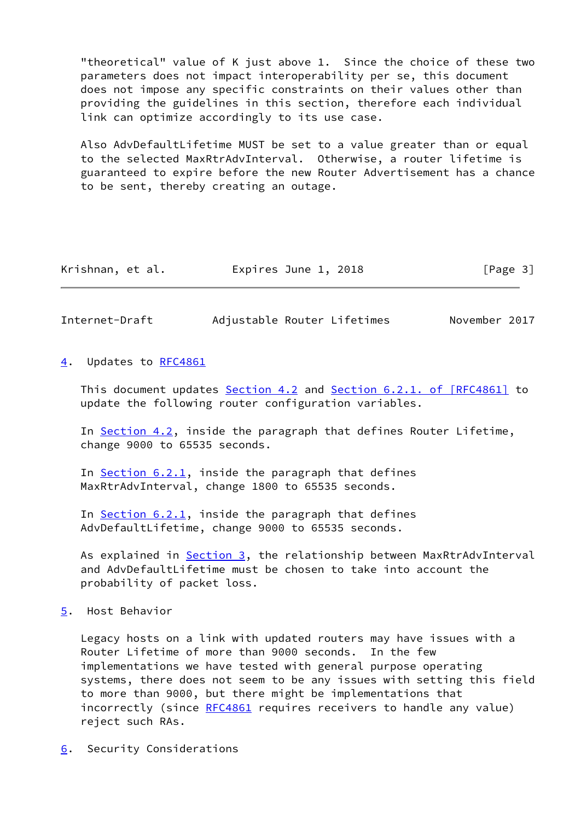"theoretical" value of K just above 1. Since the choice of these two parameters does not impact interoperability per se, this document does not impose any specific constraints on their values other than providing the guidelines in this section, therefore each individual link can optimize accordingly to its use case.

 Also AdvDefaultLifetime MUST be set to a value greater than or equal to the selected MaxRtrAdvInterval. Otherwise, a router lifetime is guaranteed to expire before the new Router Advertisement has a chance to be sent, thereby creating an outage.

| Krishnan, et al. | Expires June 1, 2018 | [Page 3] |
|------------------|----------------------|----------|
|------------------|----------------------|----------|

<span id="page-3-1"></span>Internet-Draft Adjustable Router Lifetimes November 2017

<span id="page-3-0"></span>[4](#page-3-0). Updates to [RFC4861](https://datatracker.ietf.org/doc/pdf/rfc4861)

This document updates Section 4.2 and Section [6.2.1. of \[RFC4861\]](https://datatracker.ietf.org/doc/pdf/rfc4861#section-6.2.1) to update the following router configuration variables.

 In Section 4.2, inside the paragraph that defines Router Lifetime, change 9000 to 65535 seconds.

In Section 6.2.1, inside the paragraph that defines MaxRtrAdvInterval, change 1800 to 65535 seconds.

 In Section 6.2.1, inside the paragraph that defines AdvDefaultLifetime, change 9000 to 65535 seconds.

As explained in [Section 3](#page-2-2), the relationship between MaxRtrAdvInterval and AdvDefaultLifetime must be chosen to take into account the probability of packet loss.

<span id="page-3-2"></span>[5](#page-3-2). Host Behavior

 Legacy hosts on a link with updated routers may have issues with a Router Lifetime of more than 9000 seconds. In the few implementations we have tested with general purpose operating systems, there does not seem to be any issues with setting this field to more than 9000, but there might be implementations that incorrectly (since [RFC4861](https://datatracker.ietf.org/doc/pdf/rfc4861) requires receivers to handle any value) reject such RAs.

<span id="page-3-3"></span>[6](#page-3-3). Security Considerations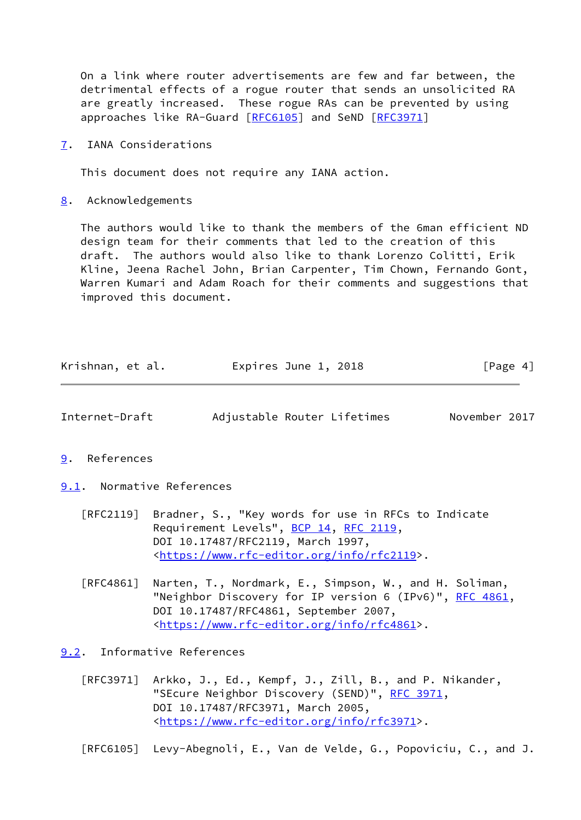On a link where router advertisements are few and far between, the detrimental effects of a rogue router that sends an unsolicited RA are greatly increased. These rogue RAs can be prevented by using approaches like RA-Guard [\[RFC6105](https://datatracker.ietf.org/doc/pdf/rfc6105)] and SeND [\[RFC3971](https://datatracker.ietf.org/doc/pdf/rfc3971)]

<span id="page-4-0"></span>[7](#page-4-0). IANA Considerations

This document does not require any IANA action.

<span id="page-4-1"></span>[8](#page-4-1). Acknowledgements

 The authors would like to thank the members of the 6man efficient ND design team for their comments that led to the creation of this draft. The authors would also like to thank Lorenzo Colitti, Erik Kline, Jeena Rachel John, Brian Carpenter, Tim Chown, Fernando Gont, Warren Kumari and Adam Roach for their comments and suggestions that improved this document.

| Krishnan, et al. | Expires June 1, 2018 | [Page 4] |
|------------------|----------------------|----------|
|------------------|----------------------|----------|

<span id="page-4-3"></span>

| Internet-Draft | Adjustable Router Lifetimes |  | November 2017 |  |
|----------------|-----------------------------|--|---------------|--|
|                |                             |  |               |  |

<span id="page-4-2"></span>[9](#page-4-2). References

<span id="page-4-4"></span>[9.1](#page-4-4). Normative References

- [RFC2119] Bradner, S., "Key words for use in RFCs to Indicate Requirement Levels", [BCP 14](https://datatracker.ietf.org/doc/pdf/bcp14), [RFC 2119](https://datatracker.ietf.org/doc/pdf/rfc2119), DOI 10.17487/RFC2119, March 1997, <[https://www.rfc-editor.org/info/rfc2119>](https://www.rfc-editor.org/info/rfc2119).
- [RFC4861] Narten, T., Nordmark, E., Simpson, W., and H. Soliman, "Neighbor Discovery for IP version 6 (IPv6)", [RFC 4861](https://datatracker.ietf.org/doc/pdf/rfc4861), DOI 10.17487/RFC4861, September 2007, <[https://www.rfc-editor.org/info/rfc4861>](https://www.rfc-editor.org/info/rfc4861).

<span id="page-4-5"></span>[9.2](#page-4-5). Informative References

[RFC3971] Arkko, J., Ed., Kempf, J., Zill, B., and P. Nikander, "SEcure Neighbor Discovery (SEND)", [RFC 3971,](https://datatracker.ietf.org/doc/pdf/rfc3971) DOI 10.17487/RFC3971, March 2005, <[https://www.rfc-editor.org/info/rfc3971>](https://www.rfc-editor.org/info/rfc3971).

[RFC6105] Levy-Abegnoli, E., Van de Velde, G., Popoviciu, C., and J.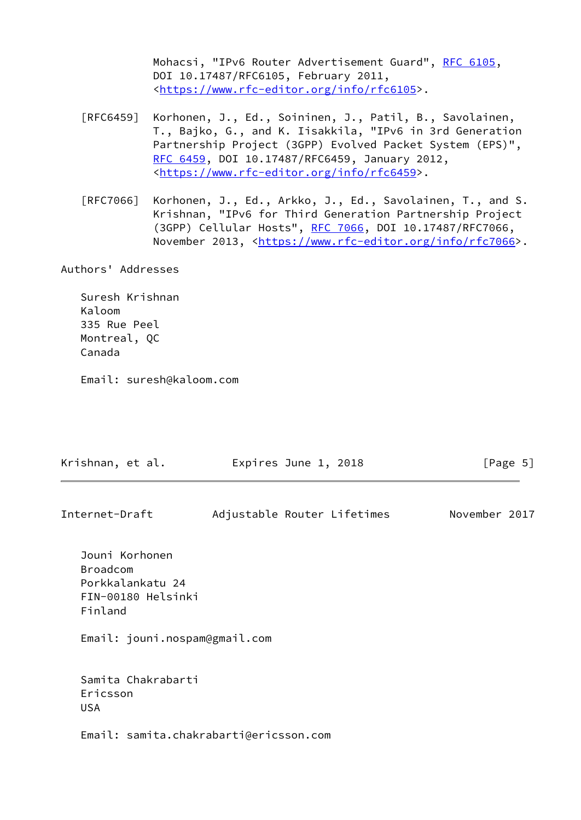Mohacsi, "IPv6 Router Advertisement Guard", [RFC 6105,](https://datatracker.ietf.org/doc/pdf/rfc6105) DOI 10.17487/RFC6105, February 2011, <[https://www.rfc-editor.org/info/rfc6105>](https://www.rfc-editor.org/info/rfc6105).

- [RFC6459] Korhonen, J., Ed., Soininen, J., Patil, B., Savolainen, T., Bajko, G., and K. Iisakkila, "IPv6 in 3rd Generation Partnership Project (3GPP) Evolved Packet System (EPS)", [RFC 6459,](https://datatracker.ietf.org/doc/pdf/rfc6459) DOI 10.17487/RFC6459, January 2012, <[https://www.rfc-editor.org/info/rfc6459>](https://www.rfc-editor.org/info/rfc6459).
- [RFC7066] Korhonen, J., Ed., Arkko, J., Ed., Savolainen, T., and S. Krishnan, "IPv6 for Third Generation Partnership Project (3GPP) Cellular Hosts", [RFC 7066,](https://datatracker.ietf.org/doc/pdf/rfc7066) DOI 10.17487/RFC7066, November 2013, <<https://www.rfc-editor.org/info/rfc7066>>.

Authors' Addresses

 Suresh Krishnan Kaloom 335 Rue Peel Montreal, QC Canada

Email: suresh@kaloom.com

| Krishnan, et al.                                                                       | Expires June 1, 2018        | [Page 5]      |
|----------------------------------------------------------------------------------------|-----------------------------|---------------|
| Internet-Draft                                                                         | Adjustable Router Lifetimes | November 2017 |
| Jouni Korhonen<br><b>Broadcom</b><br>Porkkalankatu 24<br>FIN-00180 Helsinki<br>Finland |                             |               |
| Email: jouni.nospam@gmail.com                                                          |                             |               |
| Samita Chakrabarti<br>Ericsson<br><b>USA</b>                                           |                             |               |
| Email: samita.chakrabarti@ericsson.com                                                 |                             |               |